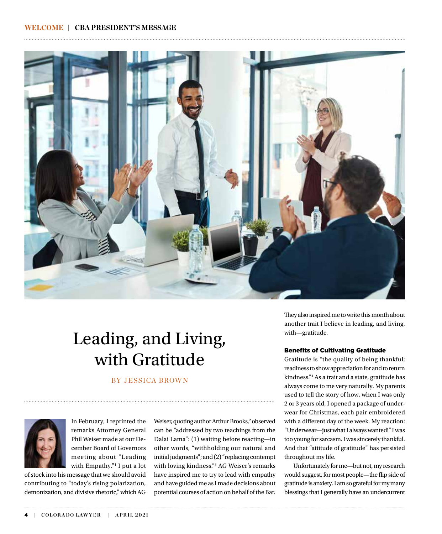

# Leading, and Living, with Gratitude

BY JESSICA BROWN



In February, I reprinted the remarks Attorney General Phil Weiser made at our December Board of Governors meeting about "Leading with Empathy."<sup>1</sup> I put a lot

of stock into his message that we should avoid contributing to "today's rising polarization, demonization, and divisive rhetoric," which AG

Weiser, quoting author Arthur Brooks,<sup>2</sup> observed can be "addressed by two teachings from the Dalai Lama": (1) waiting before reacting—in other words, "withholding our natural and initial judgments"; and (2) "replacing contempt with loving kindness."3 AG Weiser's remarks have inspired me to try to lead with empathy and have guided me as I made decisions about potential courses of action on behalf of the Bar. They also inspired me to write this month about another trait I believe in leading, and living, with—gratitude.

### Benefits of Cultivating Gratitude

Gratitude is "the quality of being thankful; readiness to show appreciation for and to return kindness."4 As a trait and a state, gratitude has always come to me very naturally. My parents used to tell the story of how, when I was only 2 or 3 years old, I opened a package of underwear for Christmas, each pair embroidered with a different day of the week. My reaction: "Underwear—just what I always wanted!" I was too young for sarcasm. I was sincerely thankful. And that "attitude of gratitude" has persisted throughout my life.

Unfortunately for me—but not, my research would suggest, for most people—the flip side of gratitude is anxiety. I am so grateful for my many blessings that I generally have an undercurrent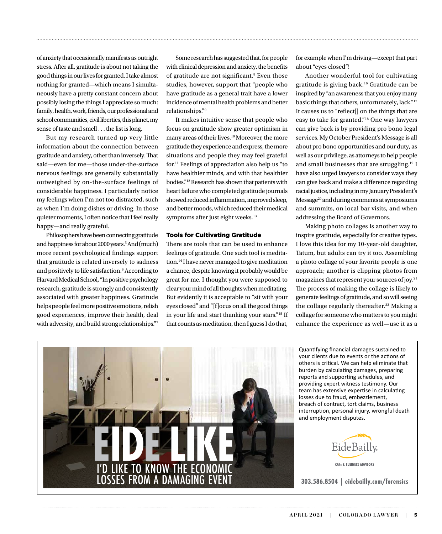of anxiety that occasionally manifests as outright stress. After all, gratitude is about not taking the good things in our lives for granted. I take almost nothing for granted—which means I simultaneously have a pretty constant concern about possibly losing the things I appreciate so much: family, health, work, friends, our professional and school communities, civil liberties, this planet, my sense of taste and smell . . . the list is long.

But my research turned up very little information about the connection between gratitude and anxiety, other than inversely. That said—even for me—those under-the-surface nervous feelings are generally substantially outweighed by on-the-surface feelings of considerable happiness. I particularly notice my feelings when I'm not too distracted, such as when I'm doing dishes or driving. In those quieter moments, I often notice that I feel really happy—and really grateful.

Philosophers have been connecting gratitude and happiness for about 2000 years.5 And (much) more recent psychological findings support that gratitude is related inversely to sadness and positively to life satisfaction.<sup>6</sup> According to Harvard Medical School, "In positive psychology research, gratitude is strongly and consistently associated with greater happiness. Gratitude helps people feel more positive emotions, relish good experiences, improve their health, deal with adversity, and build strong relationships."7

Some research has suggested that, for people with clinical depression and anxiety, the benefits of gratitude are not significant.<sup>8</sup> Even those studies, however, support that "people who have gratitude as a general trait have a lower incidence of mental health problems and better relationships."9

It makes intuitive sense that people who focus on gratitude show greater optimism in many areas of their lives.10 Moreover, the more gratitude they experience and express, the more situations and people they may feel grateful for.11 Feelings of appreciation also help us "to have healthier minds, and with that healthier bodies."12 Research has shown that patients with heart failure who completed gratitude journals showed reduced inflammation, improved sleep, and better moods, which reduced their medical symptoms after just eight weeks.<sup>13</sup>

### Tools for Cultivating Gratitude

There are tools that can be used to enhance feelings of gratitude. One such tool is meditation.14 I have never managed to give meditation a chance, despite knowing it probably would be great for me. I thought you were supposed to clear your mind of all thoughts when meditating. But evidently it is acceptable to "sit with your eyes closed" and "[f]ocus on all the good things in your life and start thanking your stars."15 If that counts as meditation, then I guess I do that, for example when I'm driving—except that part about "eyes closed"!

Another wonderful tool for cultivating gratitude is giving back.16 Gratitude can be inspired by "an awareness that you enjoy many basic things that others, unfortunately, lack."17 It causes us to "reflect[] on the things that are easy to take for granted."18 One way lawyers can give back is by providing pro bono legal services. My October President's Message is all about pro bono opportunities and our duty, as well as our privilege, as attorneys to help people and small businesses that are struggling.<sup>19</sup> I have also urged lawyers to consider ways they can give back and make a difference regarding racial justice, including in my January President's Message<sup>20</sup> and during comments at symposiums and summits, on local bar visits, and when addressing the Board of Governors.

Making photo collages is another way to inspire gratitude, especially for creative types. I love this idea for my 10-year-old daughter, Tatum, but adults can try it too. Assembling a photo collage of your favorite people is one approach; another is clipping photos from magazines that represent your sources of joy.21 The process of making the collage is likely to generate feelings of gratitude, and so will seeing the collage regularly thereafter.<sup>22</sup> Making a collage for someone who matters to you might enhance the experience as well—use it as a

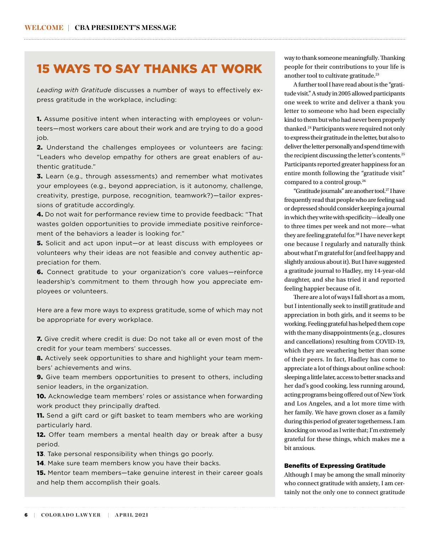## 15 WAYS TO SAY THANKS AT WORK

*Leading with Gratitude* discusses a number of ways to effectively express gratitude in the workplace, including:

1. Assume positive intent when interacting with employees or volunteers—most workers care about their work and are trying to do a good job.

2. Understand the challenges employees or volunteers are facing: "Leaders who develop empathy for others are great enablers of authentic gratitude."

**3.** Learn (e.g., through assessments) and remember what motivates your employees (e.g., beyond appreciation, is it autonomy, challenge, creativity, prestige, purpose, recognition, teamwork?)—tailor expressions of gratitude accordingly.

4. Do not wait for performance review time to provide feedback: "That wastes golden opportunities to provide immediate positive reinforcement of the behaviors a leader is looking for."

5. Solicit and act upon input—or at least discuss with employees or volunteers why their ideas are not feasible and convey authentic appreciation for them.

6. Connect gratitude to your organization's core values—reinforce leadership's commitment to them through how you appreciate employees or volunteers.

Here are a few more ways to express gratitude, some of which may not be appropriate for every workplace.

7. Give credit where credit is due: Do not take all or even most of the credit for your team members' successes.

8. Actively seek opportunities to share and highlight your team members' achievements and wins.

**9.** Give team members opportunities to present to others, including senior leaders, in the organization.

10. Acknowledge team members' roles or assistance when forwarding work product they principally drafted.

**11.** Send a gift card or gift basket to team members who are working particularly hard.

12. Offer team members a mental health day or break after a busy period.

**13**. Take personal responsibility when things go poorly.

14. Make sure team members know you have their backs.

**15.** Mentor team members—take genuine interest in their career goals and help them accomplish their goals.

way to thank someone meaningfully. Thanking people for their contributions to your life is another tool to cultivate gratitude.<sup>23</sup>

A further tool I have read about is the "gratitude visit." A study in 2005 allowed participants one week to write and deliver a thank you letter to someone who had been especially kind to them but who had never been properly thanked.24 Participants were required not only to express their gratitude in the letter, but also to deliver the letter personally and spend time with the recipient discussing the letter's contents.<sup>25</sup> Participants reported greater happiness for an entire month following the "gratitude visit" compared to a control group.26

"Gratitude journals" are another tool.<sup>27</sup> I have frequently read that people who are feeling sad or depressed should consider keeping a journal in which they write with specificity—ideally one to three times per week and not more—what they are feeling grateful for.28 I have never kept one because I regularly and naturally think about what I'm grateful for (and feel happy and slightly anxious about it). But I have suggested a gratitude journal to Hadley, my 14-year-old daughter, and she has tried it and reported feeling happier because of it.

There are a lot of ways I fall short as a mom, but I intentionally seek to instill gratitude and appreciation in both girls, and it seems to be working. Feeling grateful has helped them cope with the many disappointments (e.g., closures and cancellations) resulting from COVID-19, which they are weathering better than some of their peers. In fact, Hadley has come to appreciate a lot of things about online school: sleeping a little later, access to better snacks and her dad's good cooking, less running around, acting programs being offered out of New York and Los Angeles, and a lot more time with her family. We have grown closer as a family during this period of greater togetherness. I am knocking on wood as I write that; I'm extremely grateful for these things, which makes me a bit anxious.

### Benefits of Expressing Gratitude

Although I may be among the small minority who connect gratitude with anxiety, I am certainly not the only one to connect gratitude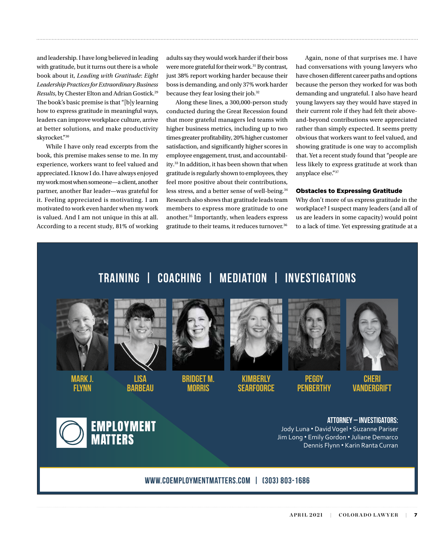and leadership. I have long believed in leading with gratitude, but it turns out there is a whole book about it, *Leading with Gratitude*: *Eight Leadership Practices for Extraordinary Business Results*, byChester Elton and Adrian Gostick.29 The book's basic premise is that "[b]y learning how to express gratitude in meaningful ways, leaders can improve workplace culture, arrive at better solutions, and make productivity skyrocket."30

While I have only read excerpts from the book, this premise makes sense to me. In my experience, workers want to feel valued and appreciated. I know I do. I have always enjoyed my work most when someone—a client, another partner, another Bar leader—was grateful for it. Feeling appreciated is motivating. I am motivated to work even harder when my work is valued. And I am not unique in this at all. According to a recent study, 81% of working adults say they would work harder if their boss were more grateful for their work.<sup>31</sup> By contrast, just 38% report working harder because their boss is demanding, and only 37% work harder because they fear losing their job.32

Along these lines, a 300,000-person study conducted during the Great Recession found that more grateful managers led teams with higher business metrics, including up to two times greater profitability, 20% higher customer satisfaction, and significantly higher scores in employee engagement, trust, and accountability.33 In addition, it has been shown that when gratitude is regularly shown to employees, they feel more positive about their contributions, less stress, and a better sense of well-being.<sup>34</sup> Research also shows that gratitude leads team members to express more gratitude to one another.35 Importantly, when leaders express gratitude to their teams, it reduces turnover.36

Again, none of that surprises me. I have had conversations with young lawyers who have chosen different career paths and options because the person they worked for was both demanding and ungrateful. I also have heard young lawyers say they would have stayed in their current role if they had felt their aboveand-beyond contributions were appreciated rather than simply expected. It seems pretty obvious that workers want to feel valued, and showing gratitude is one way to accomplish that. Yet a recent study found that "people are less likely to express gratitude at work than anyplace else."37

### Obstacles to Expressing Gratitude

Why don't more of us express gratitude in the workplace? I suspect many leaders (and all of us are leaders in some capacity) would point to a lack of time. Yet expressing gratitude at a

## training | coaching | mediation | investigations



Mark J. Flynn



Lisa

**BARBEAU** 

**EMPLOYMENT** 

**MATTERS** 

Bridget M. **MORRIS** 



**KIMBERLY SEARFOORCE** 



**PEGGY PENBERTHY** 



Cheri Vandergrift

Attorney – Investigators: Jody Luna • David Vogel • Suzanne Pariser Jim Long • Emily Gordon • Juliane Demarco Dennis Flynn • Karin Ranta Curran

www.coemploymentmatters.com | (303) 803-1686



**APRIL 2021 | COLOR A DO L AW Y ER |** 7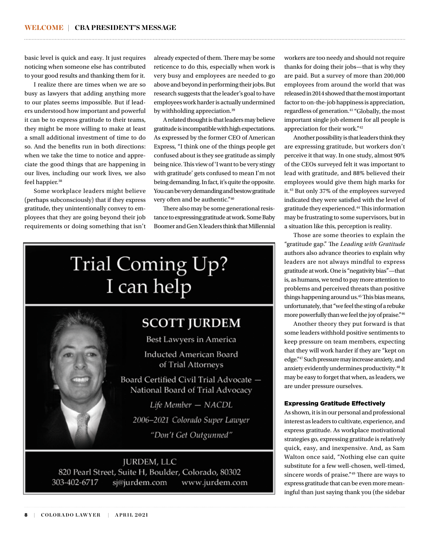basic level is quick and easy. It just requires noticing when someone else has contributed to your good results and thanking them for it.

I realize there are times when we are so busy as lawyers that adding anything more to our plates seems impossible. But if leaders understood how important and powerful it can be to express gratitude to their teams, they might be more willing to make at least a small additional investment of time to do so. And the benefits run in both directions: when we take the time to notice and appreciate the good things that are happening in our lives, including our work lives, we also feel happier.<sup>38</sup>

Some workplace leaders might believe (perhaps subconsciously) that if they express gratitude, they unintentionally convey to employees that they are going beyond their job requirements or doing something that isn't already expected of them. There may be some reticence to do this, especially when work is very busy and employees are needed to go above and beyond in performing their jobs. But research suggests that the leader's goal to have employees work harder is actually undermined by withholding appreciation.<sup>39</sup>

A related thought is that leaders may believe gratitude is incompatible with high expectations. As expressed by the former CEO of American Express, "I think one of the things people get confused about is they see gratitude as simply being nice. This view of 'I want to be very stingy with gratitude' gets confused to mean I'm not being demanding. In fact, it's quite the opposite. You can be very demanding and bestow gratitude very often and be authentic."40

There also may be some generational resistance to expressing gratitude at work. Some Baby Boomer and Gen X leaders think that Millennial



workers are too needy and should not require thanks for doing their jobs—that is why they are paid. But a survey of more than 200,000 employees from around the world that was released in 2014 showed that the most important factor to on-the-job happiness is appreciation, regardless of generation.<sup>41</sup> "Globally, the most important single job element for all people is appreciation for their work."42

Another possibility is that leaders think they are expressing gratitude, but workers don't perceive it that way. In one study, almost 90% of the CEOs surveyed felt it was important to lead with gratitude, and 88% believed their employees would give them high marks for it.43 But only 37% of the employees surveyed indicated they were satisfied with the level of gratitude they experienced.44 This information may be frustrating to some supervisors, but in a situation like this, perception is reality.

Those are some theories to explain the "gratitude gap." The *Leading with Gratitude* authors also advance theories to explain why leaders are not always mindful to express gratitude at work. One is "negativity bias"—that is, as humans, we tend to pay more attention to problems and perceived threats than positive things happening around us.45 This bias means, unfortunately, that "we feel the sting of a rebuke more powerfully than we feel the joy of praise."46

Another theory they put forward is that some leaders withhold positive sentiments to keep pressure on team members, expecting that they will work harder if they are "kept on edge."47 Such pressure may increase anxiety, and anxiety evidently undermines productivity.48 It may be easy to forget that when, as leaders, we are under pressure ourselves.

### Expressing Gratitude Effectively

As shown, it is in our personal and professional interest as leaders to cultivate, experience, and express gratitude. As workplace motivational strategies go, expressing gratitude is relatively quick, easy, and inexpensive. And, as Sam Walton once said, "Nothing else can quite substitute for a few well-chosen, well-timed, sincere words of praise."49 There are ways to express gratitude that can be even more meaningful than just saying thank you (the sidebar